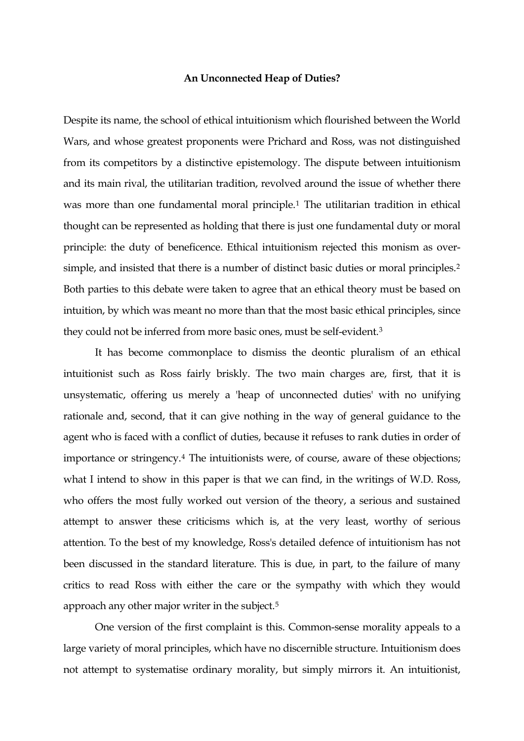## **An Unconnected Heap of Duties?**

Despite its name, the school of ethical intuitionism which flourished between the World Wars, and whose greatest proponents were Prichard and Ross, was not distinguished from its competitors by a distinctive epistemology. The dispute between intuitionism and its main rival, the utilitarian tradition, revolved around the issue of whether there was more than one fundamental moral principle.[1](#page-18-0) The utilitarian tradition in ethical thought can be represented as holding that there is just one fundamental duty or moral principle: the duty of beneficence. Ethical intuitionism rejected this monism as over-simple, and insisted that there is a number of distinct basic duties or moral principles.<sup>[2](#page-18-1)</sup> Both parties to this debate were taken to agree that an ethical theory must be based on intuition, by which was meant no more than that the most basic ethical principles, since they could not be inferred from more basic ones, must be self-evident.<sup>[3](#page-18-1)</sup>

 It has become commonplace to dismiss the deontic pluralism of an ethical intuitionist such as Ross fairly briskly. The two main charges are, first, that it is unsystematic, offering us merely a 'heap of unconnected duties' with no unifying rationale and, second, that it can give nothing in the way of general guidance to the agent who is faced with a conflict of duties, because it refuses to rank duties in order of importance or stringency[.4](#page-18-1) The intuitionists were, of course, aware of these objections; what I intend to show in this paper is that we can find, in the writings of W.D. Ross, who offers the most fully worked out version of the theory, a serious and sustained attempt to answer these criticisms which is, at the very least, worthy of serious attention. To the best of my knowledge, Ross's detailed defence of intuitionism has not been discussed in the standard literature. This is due, in part, to the failure of many critics to read Ross with either the care or the sympathy with which they would approach any other major writer in the subject.[5](#page-18-1)

 One version of the first complaint is this. Common-sense morality appeals to a large variety of moral principles, which have no discernible structure. Intuitionism does not attempt to systematise ordinary morality, but simply mirrors it. An intuitionist,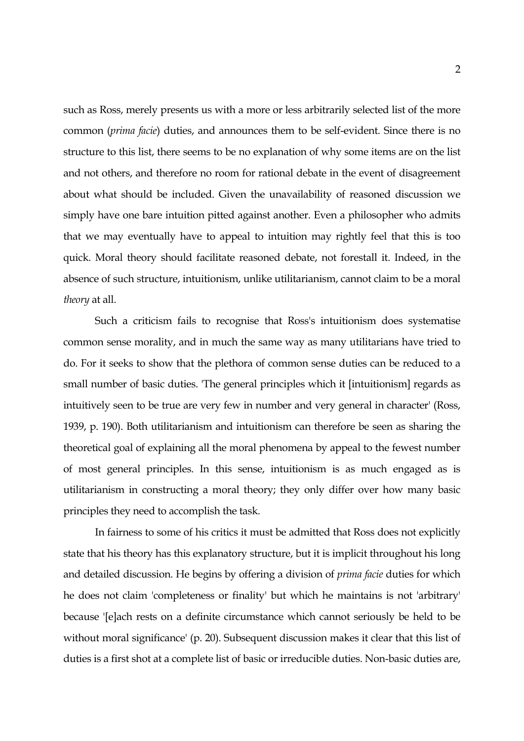such as Ross, merely presents us with a more or less arbitrarily selected list of the more common (*prima facie*) duties, and announces them to be self-evident. Since there is no structure to this list, there seems to be no explanation of why some items are on the list and not others, and therefore no room for rational debate in the event of disagreement about what should be included. Given the unavailability of reasoned discussion we simply have one bare intuition pitted against another. Even a philosopher who admits that we may eventually have to appeal to intuition may rightly feel that this is too quick. Moral theory should facilitate reasoned debate, not forestall it. Indeed, in the absence of such structure, intuitionism, unlike utilitarianism, cannot claim to be a moral *theory* at all.

 Such a criticism fails to recognise that Ross's intuitionism does systematise common sense morality, and in much the same way as many utilitarians have tried to do. For it seeks to show that the plethora of common sense duties can be reduced to a small number of basic duties. 'The general principles which it [intuitionism] regards as intuitively seen to be true are very few in number and very general in character' (Ross, 1939, p. 190). Both utilitarianism and intuitionism can therefore be seen as sharing the theoretical goal of explaining all the moral phenomena by appeal to the fewest number of most general principles. In this sense, intuitionism is as much engaged as is utilitarianism in constructing a moral theory; they only differ over how many basic principles they need to accomplish the task.

 In fairness to some of his critics it must be admitted that Ross does not explicitly state that his theory has this explanatory structure, but it is implicit throughout his long and detailed discussion. He begins by offering a division of *prima facie* duties for which he does not claim 'completeness or finality' but which he maintains is not 'arbitrary' because '[e]ach rests on a definite circumstance which cannot seriously be held to be without moral significance' (p. 20). Subsequent discussion makes it clear that this list of duties is a first shot at a complete list of basic or irreducible duties. Non-basic duties are,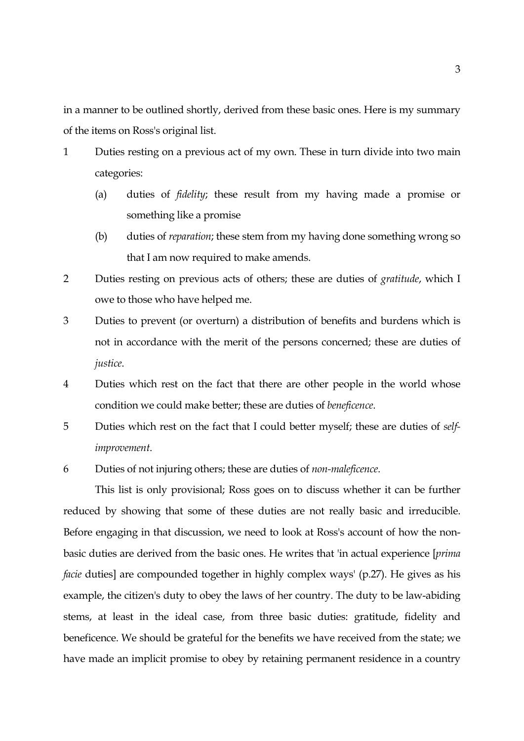in a manner to be outlined shortly, derived from these basic ones. Here is my summary of the items on Ross's original list.

- 1 Duties resting on a previous act of my own. These in turn divide into two main categories:
	- (a) duties of *fidelity*; these result from my having made a promise or something like a promise
	- (b) duties of *reparation*; these stem from my having done something wrong so that I am now required to make amends.
- 2 Duties resting on previous acts of others; these are duties of *gratitude*, which I owe to those who have helped me.
- 3 Duties to prevent (or overturn) a distribution of benefits and burdens which is not in accordance with the merit of the persons concerned; these are duties of *justice*.
- 4 Duties which rest on the fact that there are other people in the world whose condition we could make better; these are duties of *beneficence*.
- 5 Duties which rest on the fact that I could better myself; these are duties of *selfimprovement*.
- 6 Duties of not injuring others; these are duties of *non-maleficence*.

 This list is only provisional; Ross goes on to discuss whether it can be further reduced by showing that some of these duties are not really basic and irreducible. Before engaging in that discussion, we need to look at Ross's account of how the nonbasic duties are derived from the basic ones. He writes that 'in actual experience [*prima facie* duties] are compounded together in highly complex ways' (p.27). He gives as his example, the citizen's duty to obey the laws of her country. The duty to be law-abiding stems, at least in the ideal case, from three basic duties: gratitude, fidelity and beneficence. We should be grateful for the benefits we have received from the state; we have made an implicit promise to obey by retaining permanent residence in a country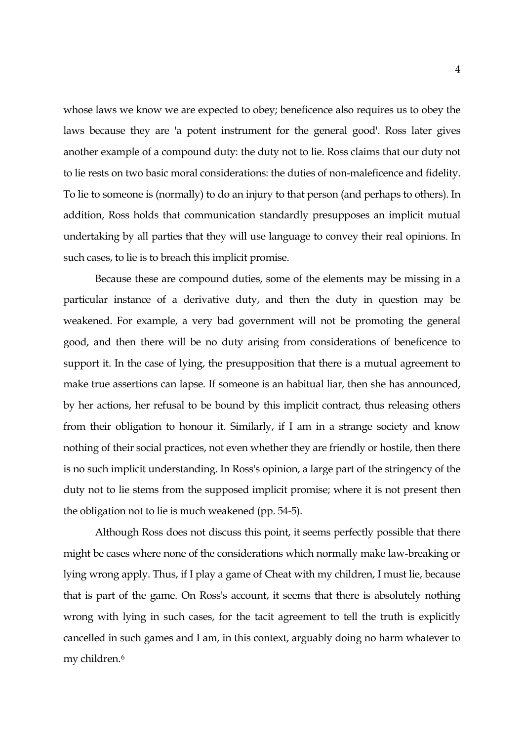whose laws we know we are expected to obey; beneficence also requires us to obey the laws because they are 'a potent instrument for the general good'. Ross later gives another example of a compound duty: the duty not to lie. Ross claims that our duty not to lie rests on two basic moral considerations: the duties of non-maleficence and fidelity. To lie to someone is (normally) to do an injury to that person (and perhaps to others). In addition, Ross holds that communication standardly presupposes an implicit mutual undertaking by all parties that they will use language to convey their real opinions. In such cases, to lie is to breach this implicit promise.

 Because these are compound duties, some of the elements may be missing in a particular instance of a derivative duty, and then the duty in question may be weakened. For example, a very bad government will not be promoting the general good, and then there will be no duty arising from considerations of beneficence to support it. In the case of lying, the presupposition that there is a mutual agreement to make true assertions can lapse. If someone is an habitual liar, then she has announced, by her actions, her refusal to be bound by this implicit contract, thus releasing others from their obligation to honour it. Similarly, if I am in a strange society and know nothing of their social practices, not even whether they are friendly or hostile, then there is no such implicit understanding. In Ross's opinion, a large part of the stringency of the duty not to lie stems from the supposed implicit promise; where it is not present then the obligation not to lie is much weakened (pp. 54-5).

 Although Ross does not discuss this point, it seems perfectly possible that there might be cases where none of the considerations which normally make law-breaking or lying wrong apply. Thus, if I play a game of Cheat with my children, I must lie, because that is part of the game. On Ross's account, it seems that there is absolutely nothing wrong with lying in such cases, for the tacit agreement to tell the truth is explicitly cancelled in such games and I am, in this context, arguably doing no harm whatever to my children.[6](#page-18-1)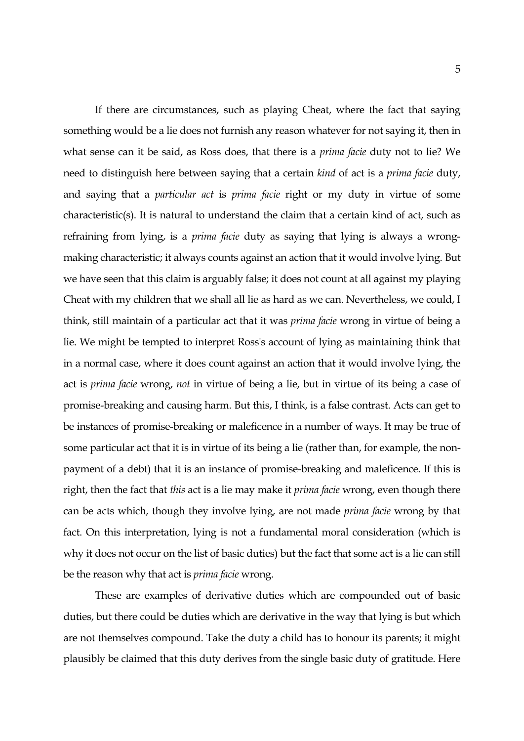If there are circumstances, such as playing Cheat, where the fact that saying something would be a lie does not furnish any reason whatever for not saying it, then in what sense can it be said, as Ross does, that there is a *prima facie* duty not to lie? We need to distinguish here between saying that a certain *kind* of act is a *prima facie* duty, and saying that a *particular act* is *prima facie* right or my duty in virtue of some characteristic(s). It is natural to understand the claim that a certain kind of act, such as refraining from lying, is a *prima facie* duty as saying that lying is always a wrongmaking characteristic; it always counts against an action that it would involve lying. But we have seen that this claim is arguably false; it does not count at all against my playing Cheat with my children that we shall all lie as hard as we can. Nevertheless, we could, I think, still maintain of a particular act that it was *prima facie* wrong in virtue of being a lie. We might be tempted to interpret Ross's account of lying as maintaining think that in a normal case, where it does count against an action that it would involve lying, the act is *prima facie* wrong, *not* in virtue of being a lie, but in virtue of its being a case of promise-breaking and causing harm. But this, I think, is a false contrast. Acts can get to be instances of promise-breaking or maleficence in a number of ways. It may be true of some particular act that it is in virtue of its being a lie (rather than, for example, the nonpayment of a debt) that it is an instance of promise-breaking and maleficence. If this is right, then the fact that *this* act is a lie may make it *prima facie* wrong, even though there can be acts which, though they involve lying, are not made *prima facie* wrong by that fact. On this interpretation, lying is not a fundamental moral consideration (which is why it does not occur on the list of basic duties) but the fact that some act is a lie can still be the reason why that act is *prima facie* wrong.

 These are examples of derivative duties which are compounded out of basic duties, but there could be duties which are derivative in the way that lying is but which are not themselves compound. Take the duty a child has to honour its parents; it might plausibly be claimed that this duty derives from the single basic duty of gratitude. Here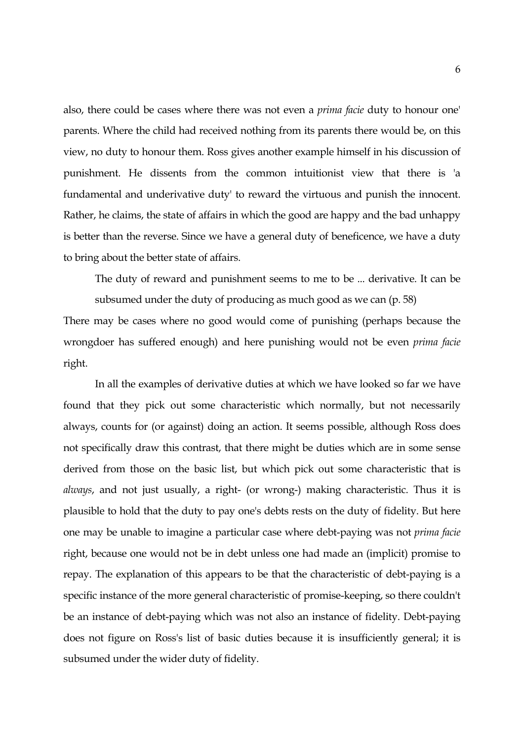also, there could be cases where there was not even a *prima facie* duty to honour one' parents. Where the child had received nothing from its parents there would be, on this view, no duty to honour them. Ross gives another example himself in his discussion of punishment. He dissents from the common intuitionist view that there is 'a fundamental and underivative duty' to reward the virtuous and punish the innocent. Rather, he claims, the state of affairs in which the good are happy and the bad unhappy is better than the reverse. Since we have a general duty of beneficence, we have a duty to bring about the better state of affairs.

 The duty of reward and punishment seems to me to be ... derivative. It can be subsumed under the duty of producing as much good as we can (p. 58)

There may be cases where no good would come of punishing (perhaps because the wrongdoer has suffered enough) and here punishing would not be even *prima facie* right.

 In all the examples of derivative duties at which we have looked so far we have found that they pick out some characteristic which normally, but not necessarily always, counts for (or against) doing an action. It seems possible, although Ross does not specifically draw this contrast, that there might be duties which are in some sense derived from those on the basic list, but which pick out some characteristic that is *always*, and not just usually, a right- (or wrong-) making characteristic. Thus it is plausible to hold that the duty to pay one's debts rests on the duty of fidelity. But here one may be unable to imagine a particular case where debt-paying was not *prima facie* right, because one would not be in debt unless one had made an (implicit) promise to repay. The explanation of this appears to be that the characteristic of debt-paying is a specific instance of the more general characteristic of promise-keeping, so there couldn't be an instance of debt-paying which was not also an instance of fidelity. Debt-paying does not figure on Ross's list of basic duties because it is insufficiently general; it is subsumed under the wider duty of fidelity.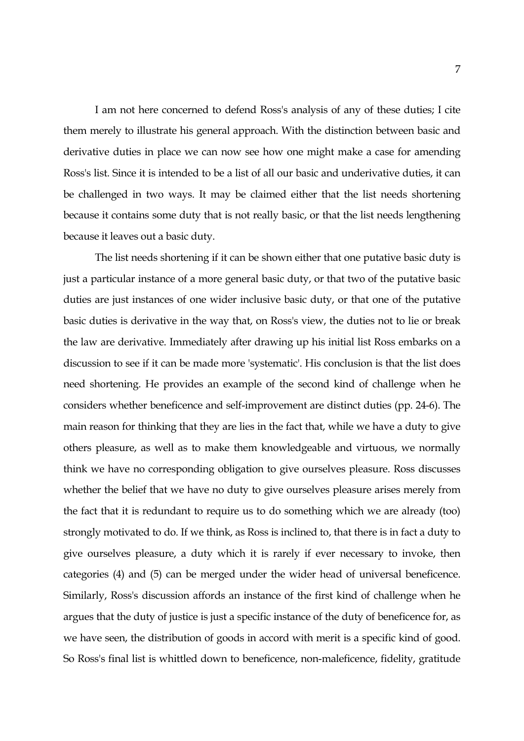I am not here concerned to defend Ross's analysis of any of these duties; I cite them merely to illustrate his general approach. With the distinction between basic and derivative duties in place we can now see how one might make a case for amending Ross's list. Since it is intended to be a list of all our basic and underivative duties, it can be challenged in two ways. It may be claimed either that the list needs shortening because it contains some duty that is not really basic, or that the list needs lengthening because it leaves out a basic duty.

 The list needs shortening if it can be shown either that one putative basic duty is just a particular instance of a more general basic duty, or that two of the putative basic duties are just instances of one wider inclusive basic duty, or that one of the putative basic duties is derivative in the way that, on Ross's view, the duties not to lie or break the law are derivative. Immediately after drawing up his initial list Ross embarks on a discussion to see if it can be made more 'systematic'. His conclusion is that the list does need shortening. He provides an example of the second kind of challenge when he considers whether beneficence and self-improvement are distinct duties (pp. 24-6). The main reason for thinking that they are lies in the fact that, while we have a duty to give others pleasure, as well as to make them knowledgeable and virtuous, we normally think we have no corresponding obligation to give ourselves pleasure. Ross discusses whether the belief that we have no duty to give ourselves pleasure arises merely from the fact that it is redundant to require us to do something which we are already (too) strongly motivated to do. If we think, as Ross is inclined to, that there is in fact a duty to give ourselves pleasure, a duty which it is rarely if ever necessary to invoke, then categories (4) and (5) can be merged under the wider head of universal beneficence. Similarly, Ross's discussion affords an instance of the first kind of challenge when he argues that the duty of justice is just a specific instance of the duty of beneficence for, as we have seen, the distribution of goods in accord with merit is a specific kind of good. So Ross's final list is whittled down to beneficence, non-maleficence, fidelity, gratitude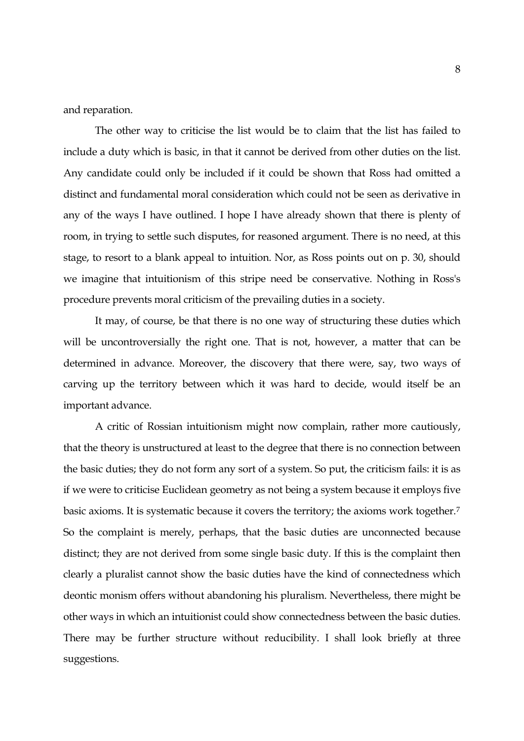and reparation.

 The other way to criticise the list would be to claim that the list has failed to include a duty which is basic, in that it cannot be derived from other duties on the list. Any candidate could only be included if it could be shown that Ross had omitted a distinct and fundamental moral consideration which could not be seen as derivative in any of the ways I have outlined. I hope I have already shown that there is plenty of room, in trying to settle such disputes, for reasoned argument. There is no need, at this stage, to resort to a blank appeal to intuition. Nor, as Ross points out on p. 30, should we imagine that intuitionism of this stripe need be conservative. Nothing in Ross's procedure prevents moral criticism of the prevailing duties in a society.

 It may, of course, be that there is no one way of structuring these duties which will be uncontroversially the right one. That is not, however, a matter that can be determined in advance. Moreover, the discovery that there were, say, two ways of carving up the territory between which it was hard to decide, would itself be an important advance.

 A critic of Rossian intuitionism might now complain, rather more cautiously, that the theory is unstructured at least to the degree that there is no connection between the basic duties; they do not form any sort of a system. So put, the criticism fails: it is as if we were to criticise Euclidean geometry as not being a system because it employs five basic axioms. It is systematic because it covers the territory; the axioms work together.[7](#page-18-1) So the complaint is merely, perhaps, that the basic duties are unconnected because distinct; they are not derived from some single basic duty. If this is the complaint then clearly a pluralist cannot show the basic duties have the kind of connectedness which deontic monism offers without abandoning his pluralism. Nevertheless, there might be other ways in which an intuitionist could show connectedness between the basic duties. There may be further structure without reducibility. I shall look briefly at three suggestions.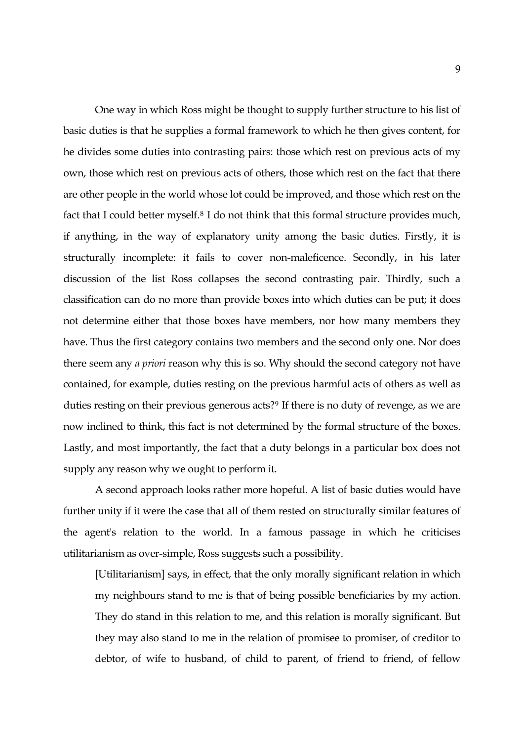One way in which Ross might be thought to supply further structure to his list of basic duties is that he supplies a formal framework to which he then gives content, for he divides some duties into contrasting pairs: those which rest on previous acts of my own, those which rest on previous acts of others, those which rest on the fact that there are other people in the world whose lot could be improved, and those which rest on the fact that I could better myself.<sup>[8](#page-18-1)</sup> I do not think that this formal structure provides much, if anything, in the way of explanatory unity among the basic duties. Firstly, it is structurally incomplete: it fails to cover non-maleficence. Secondly, in his later discussion of the list Ross collapses the second contrasting pair. Thirdly, such a classification can do no more than provide boxes into which duties can be put; it does not determine either that those boxes have members, nor how many members they have. Thus the first category contains two members and the second only one. Nor does there seem any *a priori* reason why this is so. Why should the second category not have contained, for example, duties resting on the previous harmful acts of others as well as duties resting on their previous generous acts?<sup>[9](#page-18-1)</sup> If there is no duty of revenge, as we are now inclined to think, this fact is not determined by the formal structure of the boxes. Lastly, and most importantly, the fact that a duty belongs in a particular box does not supply any reason why we ought to perform it.

 A second approach looks rather more hopeful. A list of basic duties would have further unity if it were the case that all of them rested on structurally similar features of the agent's relation to the world. In a famous passage in which he criticises utilitarianism as over-simple, Ross suggests such a possibility.

 [Utilitarianism] says, in effect, that the only morally significant relation in which my neighbours stand to me is that of being possible beneficiaries by my action. They do stand in this relation to me, and this relation is morally significant. But they may also stand to me in the relation of promisee to promiser, of creditor to debtor, of wife to husband, of child to parent, of friend to friend, of fellow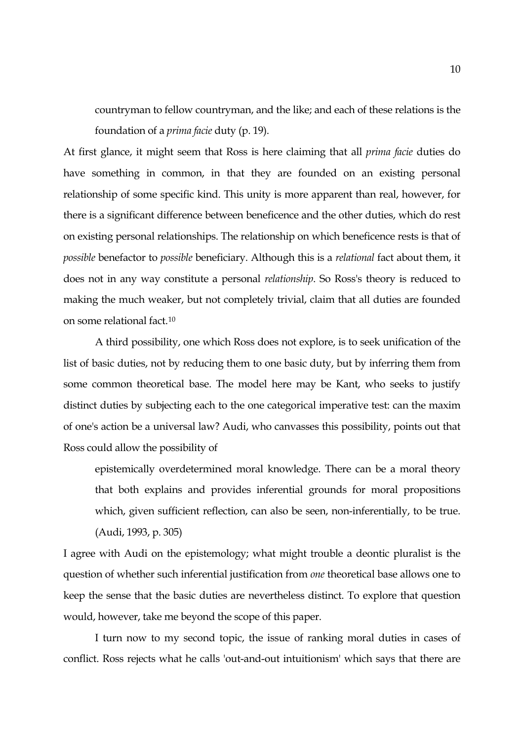countryman to fellow countryman, and the like; and each of these relations is the foundation of a *prima facie* duty (p. 19).

At first glance, it might seem that Ross is here claiming that all *prima facie* duties do have something in common, in that they are founded on an existing personal relationship of some specific kind. This unity is more apparent than real, however, for there is a significant difference between beneficence and the other duties, which do rest on existing personal relationships. The relationship on which beneficence rests is that of *possible* benefactor to *possible* beneficiary. Although this is a *relational* fact about them, it does not in any way constitute a personal *relationship*. So Ross's theory is reduced to making the much weaker, but not completely trivial, claim that all duties are founded on some relational fact.[10](#page-18-1)

 A third possibility, one which Ross does not explore, is to seek unification of the list of basic duties, not by reducing them to one basic duty, but by inferring them from some common theoretical base. The model here may be Kant, who seeks to justify distinct duties by subjecting each to the one categorical imperative test: can the maxim of one's action be a universal law? Audi, who canvasses this possibility, points out that Ross could allow the possibility of

 epistemically overdetermined moral knowledge. There can be a moral theory that both explains and provides inferential grounds for moral propositions which, given sufficient reflection, can also be seen, non-inferentially, to be true. (Audi, 1993, p. 305)

I agree with Audi on the epistemology; what might trouble a deontic pluralist is the question of whether such inferential justification from *one* theoretical base allows one to keep the sense that the basic duties are nevertheless distinct. To explore that question would, however, take me beyond the scope of this paper.

 I turn now to my second topic, the issue of ranking moral duties in cases of conflict. Ross rejects what he calls 'out-and-out intuitionism' which says that there are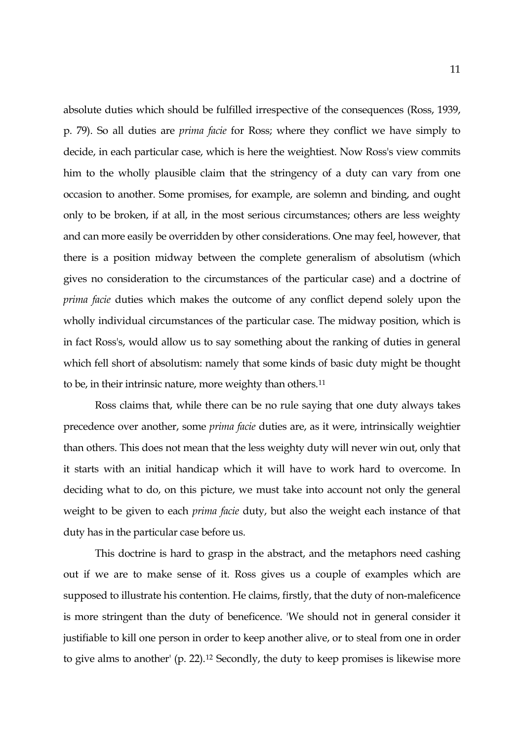absolute duties which should be fulfilled irrespective of the consequences (Ross, 1939, p. 79). So all duties are *prima facie* for Ross; where they conflict we have simply to decide, in each particular case, which is here the weightiest. Now Ross's view commits him to the wholly plausible claim that the stringency of a duty can vary from one occasion to another. Some promises, for example, are solemn and binding, and ought only to be broken, if at all, in the most serious circumstances; others are less weighty and can more easily be overridden by other considerations. One may feel, however, that there is a position midway between the complete generalism of absolutism (which gives no consideration to the circumstances of the particular case) and a doctrine of *prima facie* duties which makes the outcome of any conflict depend solely upon the wholly individual circumstances of the particular case. The midway position, which is in fact Ross's, would allow us to say something about the ranking of duties in general which fell short of absolutism: namely that some kinds of basic duty might be thought to be, in their intrinsic nature, more weighty than others.[11](#page-18-1)

 Ross claims that, while there can be no rule saying that one duty always takes precedence over another, some *prima facie* duties are, as it were, intrinsically weightier than others. This does not mean that the less weighty duty will never win out, only that it starts with an initial handicap which it will have to work hard to overcome. In deciding what to do, on this picture, we must take into account not only the general weight to be given to each *prima facie* duty, but also the weight each instance of that duty has in the particular case before us.

 This doctrine is hard to grasp in the abstract, and the metaphors need cashing out if we are to make sense of it. Ross gives us a couple of examples which are supposed to illustrate his contention. He claims, firstly, that the duty of non-maleficence is more stringent than the duty of beneficence. 'We should not in general consider it justifiable to kill one person in order to keep another alive, or to steal from one in order to give alms to another' (p. 22).[12](#page-18-1) Secondly, the duty to keep promises is likewise more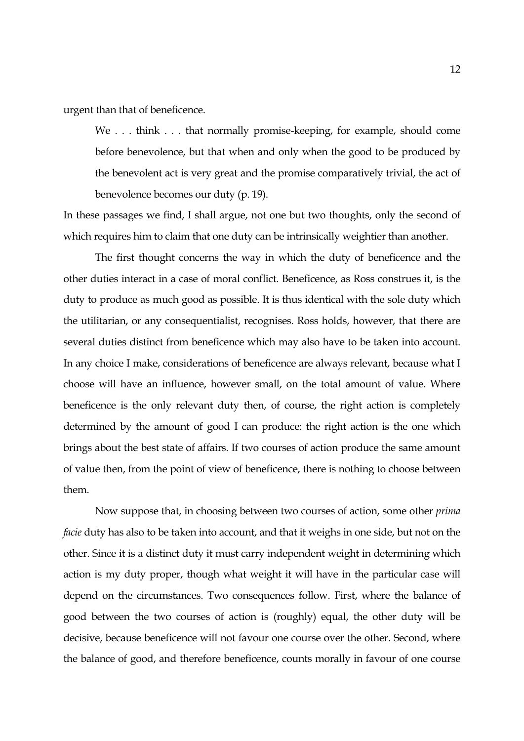urgent than that of beneficence.

We . . . think . . . that normally promise-keeping, for example, should come before benevolence, but that when and only when the good to be produced by the benevolent act is very great and the promise comparatively trivial, the act of benevolence becomes our duty (p. 19).

In these passages we find, I shall argue, not one but two thoughts, only the second of which requires him to claim that one duty can be intrinsically weightier than another.

 The first thought concerns the way in which the duty of beneficence and the other duties interact in a case of moral conflict. Beneficence, as Ross construes it, is the duty to produce as much good as possible. It is thus identical with the sole duty which the utilitarian, or any consequentialist, recognises. Ross holds, however, that there are several duties distinct from beneficence which may also have to be taken into account. In any choice I make, considerations of beneficence are always relevant, because what I choose will have an influence, however small, on the total amount of value. Where beneficence is the only relevant duty then, of course, the right action is completely determined by the amount of good I can produce: the right action is the one which brings about the best state of affairs. If two courses of action produce the same amount of value then, from the point of view of beneficence, there is nothing to choose between them.

 Now suppose that, in choosing between two courses of action, some other *prima facie* duty has also to be taken into account, and that it weighs in one side, but not on the other. Since it is a distinct duty it must carry independent weight in determining which action is my duty proper, though what weight it will have in the particular case will depend on the circumstances. Two consequences follow. First, where the balance of good between the two courses of action is (roughly) equal, the other duty will be decisive, because beneficence will not favour one course over the other. Second, where the balance of good, and therefore beneficence, counts morally in favour of one course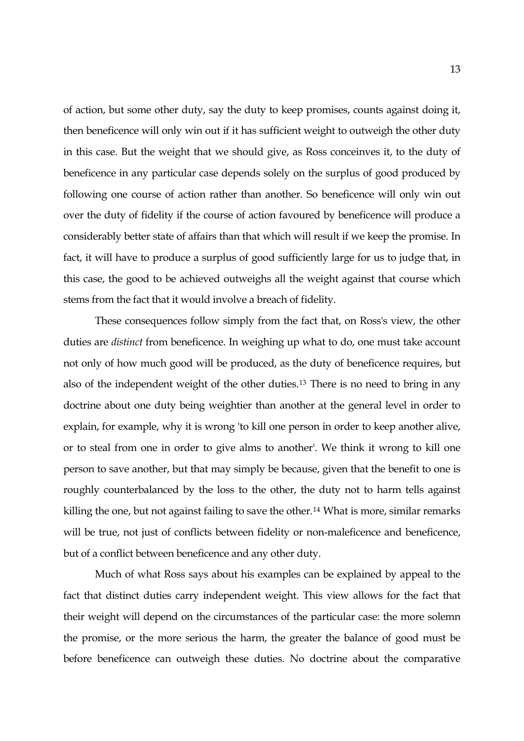of action, but some other duty, say the duty to keep promises, counts against doing it, then beneficence will only win out if it has sufficient weight to outweigh the other duty in this case. But the weight that we should give, as Ross conceinves it, to the duty of beneficence in any particular case depends solely on the surplus of good produced by following one course of action rather than another. So beneficence will only win out over the duty of fidelity if the course of action favoured by beneficence will produce a considerably better state of affairs than that which will result if we keep the promise. In fact, it will have to produce a surplus of good sufficiently large for us to judge that, in this case, the good to be achieved outweighs all the weight against that course which stems from the fact that it would involve a breach of fidelity.

 These consequences follow simply from the fact that, on Ross's view, the other duties are *distinct* from beneficence. In weighing up what to do, one must take account not only of how much good will be produced, as the duty of beneficence requires, but also of the independent weight of the other duties.[13](#page-18-1) There is no need to bring in any doctrine about one duty being weightier than another at the general level in order to explain, for example, why it is wrong 'to kill one person in order to keep another alive, or to steal from one in order to give alms to another'. We think it wrong to kill one person to save another, but that may simply be because, given that the benefit to one is roughly counterbalanced by the loss to the other, the duty not to harm tells against killing the one, but not against failing to save the other.<sup>[14](#page-18-1)</sup> What is more, similar remarks will be true, not just of conflicts between fidelity or non-maleficence and beneficence, but of a conflict between beneficence and any other duty.

 Much of what Ross says about his examples can be explained by appeal to the fact that distinct duties carry independent weight. This view allows for the fact that their weight will depend on the circumstances of the particular case: the more solemn the promise, or the more serious the harm, the greater the balance of good must be before beneficence can outweigh these duties. No doctrine about the comparative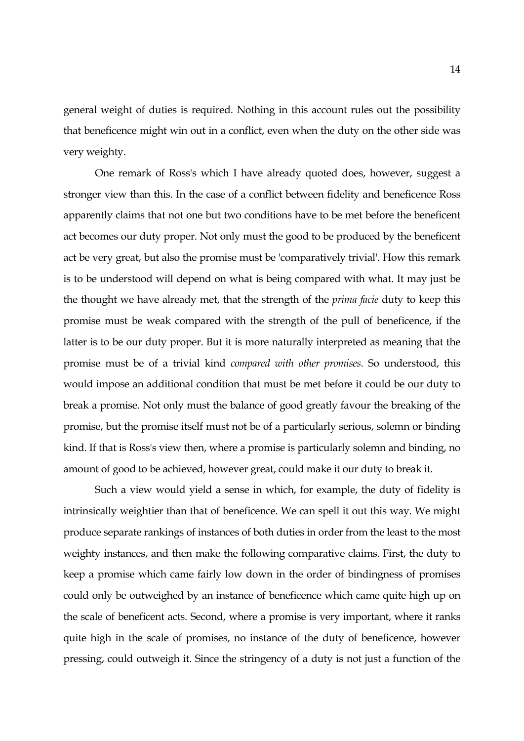general weight of duties is required. Nothing in this account rules out the possibility that beneficence might win out in a conflict, even when the duty on the other side was very weighty.

 One remark of Ross's which I have already quoted does, however, suggest a stronger view than this. In the case of a conflict between fidelity and beneficence Ross apparently claims that not one but two conditions have to be met before the beneficent act becomes our duty proper. Not only must the good to be produced by the beneficent act be very great, but also the promise must be 'comparatively trivial'. How this remark is to be understood will depend on what is being compared with what. It may just be the thought we have already met, that the strength of the *prima facie* duty to keep this promise must be weak compared with the strength of the pull of beneficence, if the latter is to be our duty proper. But it is more naturally interpreted as meaning that the promise must be of a trivial kind *compared with other promises*. So understood, this would impose an additional condition that must be met before it could be our duty to break a promise. Not only must the balance of good greatly favour the breaking of the promise, but the promise itself must not be of a particularly serious, solemn or binding kind. If that is Ross's view then, where a promise is particularly solemn and binding, no amount of good to be achieved, however great, could make it our duty to break it.

 Such a view would yield a sense in which, for example, the duty of fidelity is intrinsically weightier than that of beneficence. We can spell it out this way. We might produce separate rankings of instances of both duties in order from the least to the most weighty instances, and then make the following comparative claims. First, the duty to keep a promise which came fairly low down in the order of bindingness of promises could only be outweighed by an instance of beneficence which came quite high up on the scale of beneficent acts. Second, where a promise is very important, where it ranks quite high in the scale of promises, no instance of the duty of beneficence, however pressing, could outweigh it. Since the stringency of a duty is not just a function of the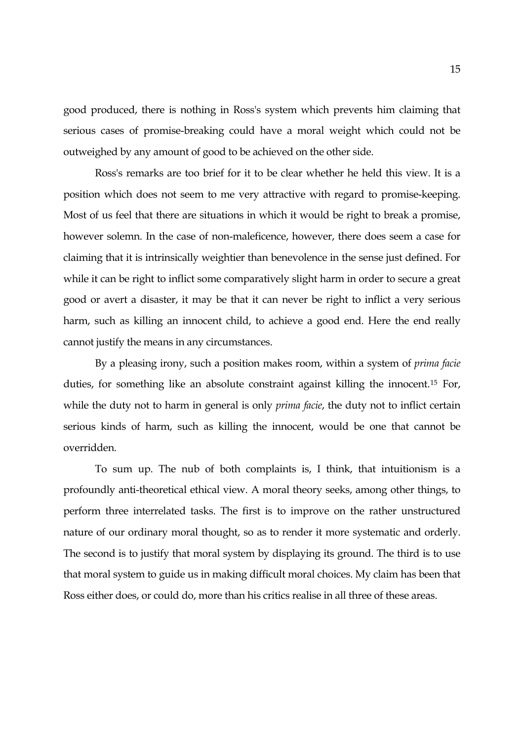good produced, there is nothing in Ross's system which prevents him claiming that serious cases of promise-breaking could have a moral weight which could not be outweighed by any amount of good to be achieved on the other side.

 Ross's remarks are too brief for it to be clear whether he held this view. It is a position which does not seem to me very attractive with regard to promise-keeping. Most of us feel that there are situations in which it would be right to break a promise, however solemn. In the case of non-maleficence, however, there does seem a case for claiming that it is intrinsically weightier than benevolence in the sense just defined. For while it can be right to inflict some comparatively slight harm in order to secure a great good or avert a disaster, it may be that it can never be right to inflict a very serious harm, such as killing an innocent child, to achieve a good end. Here the end really cannot justify the means in any circumstances.

 By a pleasing irony, such a position makes room, within a system of *prima facie* duties, for something like an absolute constraint against killing the innocent.[15](#page-18-1) For, while the duty not to harm in general is only *prima facie*, the duty not to inflict certain serious kinds of harm, such as killing the innocent, would be one that cannot be overridden.

 To sum up. The nub of both complaints is, I think, that intuitionism is a profoundly anti-theoretical ethical view. A moral theory seeks, among other things, to perform three interrelated tasks. The first is to improve on the rather unstructured nature of our ordinary moral thought, so as to render it more systematic and orderly. The second is to justify that moral system by displaying its ground. The third is to use that moral system to guide us in making difficult moral choices. My claim has been that Ross either does, or could do, more than his critics realise in all three of these areas.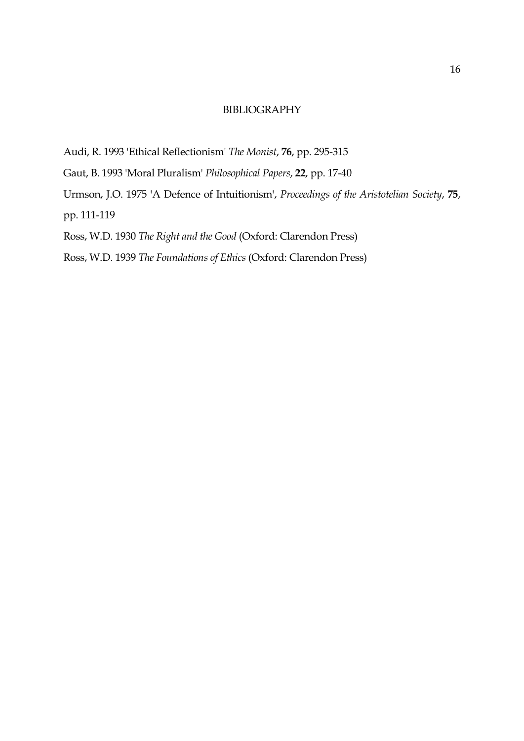## BIBLIOGRAPHY

- Audi, R. 1993 'Ethical Reflectionism' *The Monist*, **76**, pp. 295-315
- Gaut, B. 1993 'Moral Pluralism' *Philosophical Papers*, **22**, pp. 17-40
- Urmson, J.O. 1975 'A Defence of Intuitionism', *Proceedings of the Aristotelian Society*, **75**,
- pp. 111-119
- Ross, W.D. 1930 *The Right and the Good* (Oxford: Clarendon Press)
- Ross, W.D. 1939 *The Foundations of Ethics* (Oxford: Clarendon Press)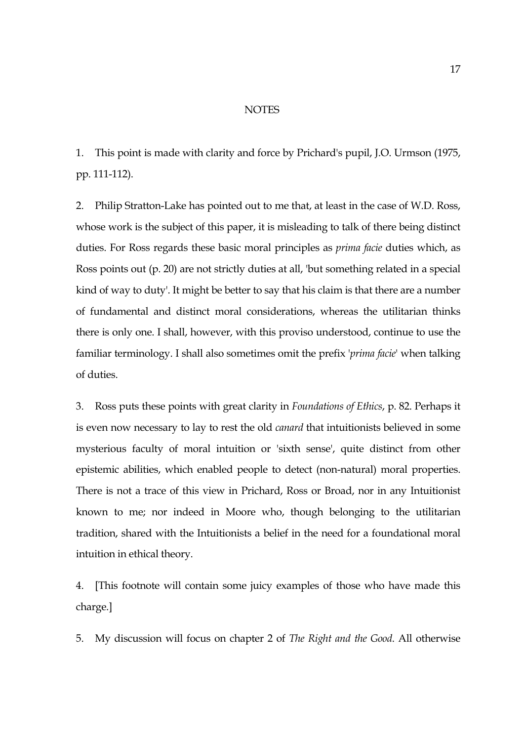## NOTES

1. This point is made with clarity and force by Prichard's pupil, J.O. Urmson (1975, pp. 111-112).

2. Philip Stratton-Lake has pointed out to me that, at least in the case of W.D. Ross, whose work is the subject of this paper, it is misleading to talk of there being distinct duties. For Ross regards these basic moral principles as *prima facie* duties which, as Ross points out (p. 20) are not strictly duties at all, 'but something related in a special kind of way to duty'. It might be better to say that his claim is that there are a number of fundamental and distinct moral considerations, whereas the utilitarian thinks there is only one. I shall, however, with this proviso understood, continue to use the familiar terminology. I shall also sometimes omit the prefix '*prima facie*' when talking of duties.

3. Ross puts these points with great clarity in *Foundations of Ethics*, p. 82. Perhaps it is even now necessary to lay to rest the old *canard* that intuitionists believed in some mysterious faculty of moral intuition or 'sixth sense', quite distinct from other epistemic abilities, which enabled people to detect (non-natural) moral properties. There is not a trace of this view in Prichard, Ross or Broad, nor in any Intuitionist known to me; nor indeed in Moore who, though belonging to the utilitarian tradition, shared with the Intuitionists a belief in the need for a foundational moral intuition in ethical theory.

4. [This footnote will contain some juicy examples of those who have made this charge.]

5. My discussion will focus on chapter 2 of *The Right and the Good*. All otherwise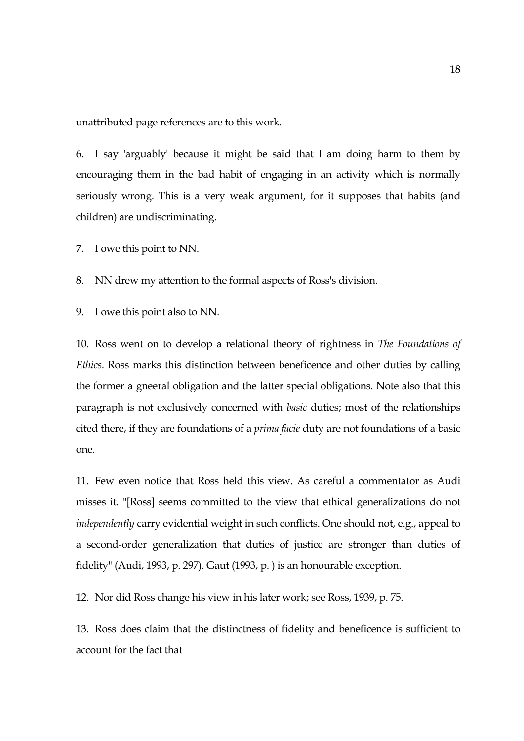unattributed page references are to this work.

6. I say 'arguably' because it might be said that I am doing harm to them by encouraging them in the bad habit of engaging in an activity which is normally seriously wrong. This is a very weak argument, for it supposes that habits (and children) are undiscriminating.

7. I owe this point to NN.

8. NN drew my attention to the formal aspects of Ross's division.

9. I owe this point also to NN.

10. Ross went on to develop a relational theory of rightness in *The Foundations of Ethics*. Ross marks this distinction between beneficence and other duties by calling the former a gneeral obligation and the latter special obligations. Note also that this paragraph is not exclusively concerned with *basic* duties; most of the relationships cited there, if they are foundations of a *prima facie* duty are not foundations of a basic one.

11. Few even notice that Ross held this view. As careful a commentator as Audi misses it. "[Ross] seems committed to the view that ethical generalizations do not *independently* carry evidential weight in such conflicts. One should not, e.g., appeal to a second-order generalization that duties of justice are stronger than duties of fidelity" (Audi, 1993, p. 297). Gaut (1993, p. ) is an honourable exception.

12. Nor did Ross change his view in his later work; see Ross, 1939, p. 75.

13. Ross does claim that the distinctness of fidelity and beneficence is sufficient to account for the fact that